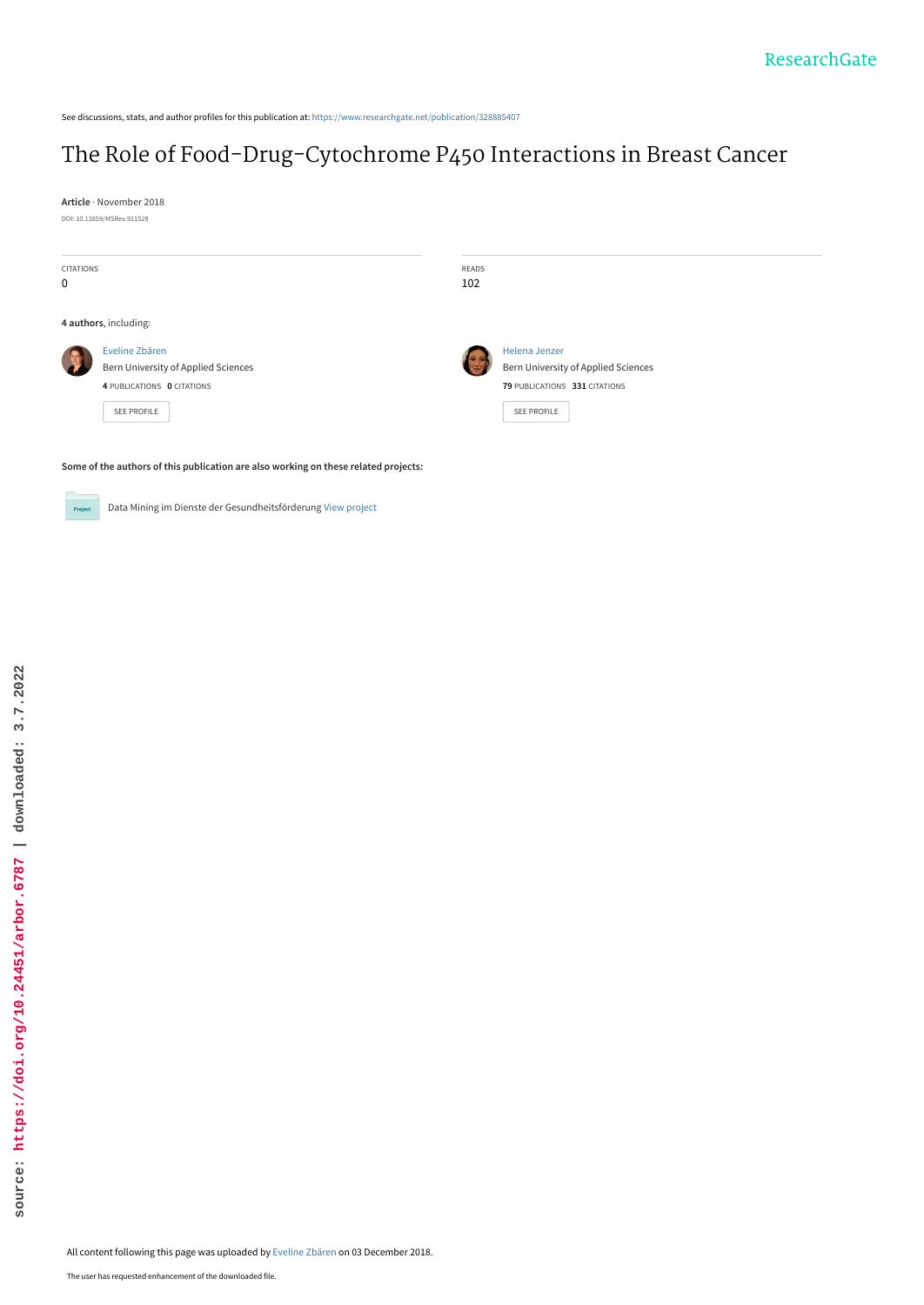See discussions, stats, and author profiles for this publication at: [https://www.researchgate.net/publication/328885407](https://www.researchgate.net/publication/328885407_The_Role_of_Food-Drug-Cytochrome_P450_Interactions_in_Breast_Cancer?enrichId=rgreq-213fecae604d6f7e70206950b73d5b61-XXX&enrichSource=Y292ZXJQYWdlOzMyODg4NTQwNztBUzo2OTk2MzUwMTQzMTYwNDJAMTU0MzgxNzM5NDkyNA%3D%3D&el=1_x_2&_esc=publicationCoverPdf)

# [The Role of Food-Drug-Cytochrome P450 Interactions in Breast Cancer](https://www.researchgate.net/publication/328885407_The_Role_of_Food-Drug-Cytochrome_P450_Interactions_in_Breast_Cancer?enrichId=rgreq-213fecae604d6f7e70206950b73d5b61-XXX&enrichSource=Y292ZXJQYWdlOzMyODg4NTQwNztBUzo2OTk2MzUwMTQzMTYwNDJAMTU0MzgxNzM5NDkyNA%3D%3D&el=1_x_3&_esc=publicationCoverPdf)

**Article** · November 2018 DOI: 10.12659/MSRev.911528

| <b>CITATIONS</b><br>0                                                               |                                                                                                    | READS<br>102 |                                                                                                      |  |  |  |
|-------------------------------------------------------------------------------------|----------------------------------------------------------------------------------------------------|--------------|------------------------------------------------------------------------------------------------------|--|--|--|
| 4 authors, including:                                                               |                                                                                                    |              |                                                                                                      |  |  |  |
|                                                                                     | Eveline Zbären<br>Bern University of Applied Sciences<br>4 PUBLICATIONS 0 CITATIONS<br>SEE PROFILE |              | Helena Jenzer<br>Bern University of Applied Sciences<br>79 PUBLICATIONS 331 CITATIONS<br>SEE PROFILE |  |  |  |
| Some of the authors of this publication are also working on these related projects: |                                                                                                    |              |                                                                                                      |  |  |  |



Data Mining im Dienste der Gesundheitsförderung [View project](https://www.researchgate.net/project/Data-Mining-im-Dienste-der-Gesundheitsfoerderung?enrichId=rgreq-213fecae604d6f7e70206950b73d5b61-XXX&enrichSource=Y292ZXJQYWdlOzMyODg4NTQwNztBUzo2OTk2MzUwMTQzMTYwNDJAMTU0MzgxNzM5NDkyNA%3D%3D&el=1_x_9&_esc=publicationCoverPdf)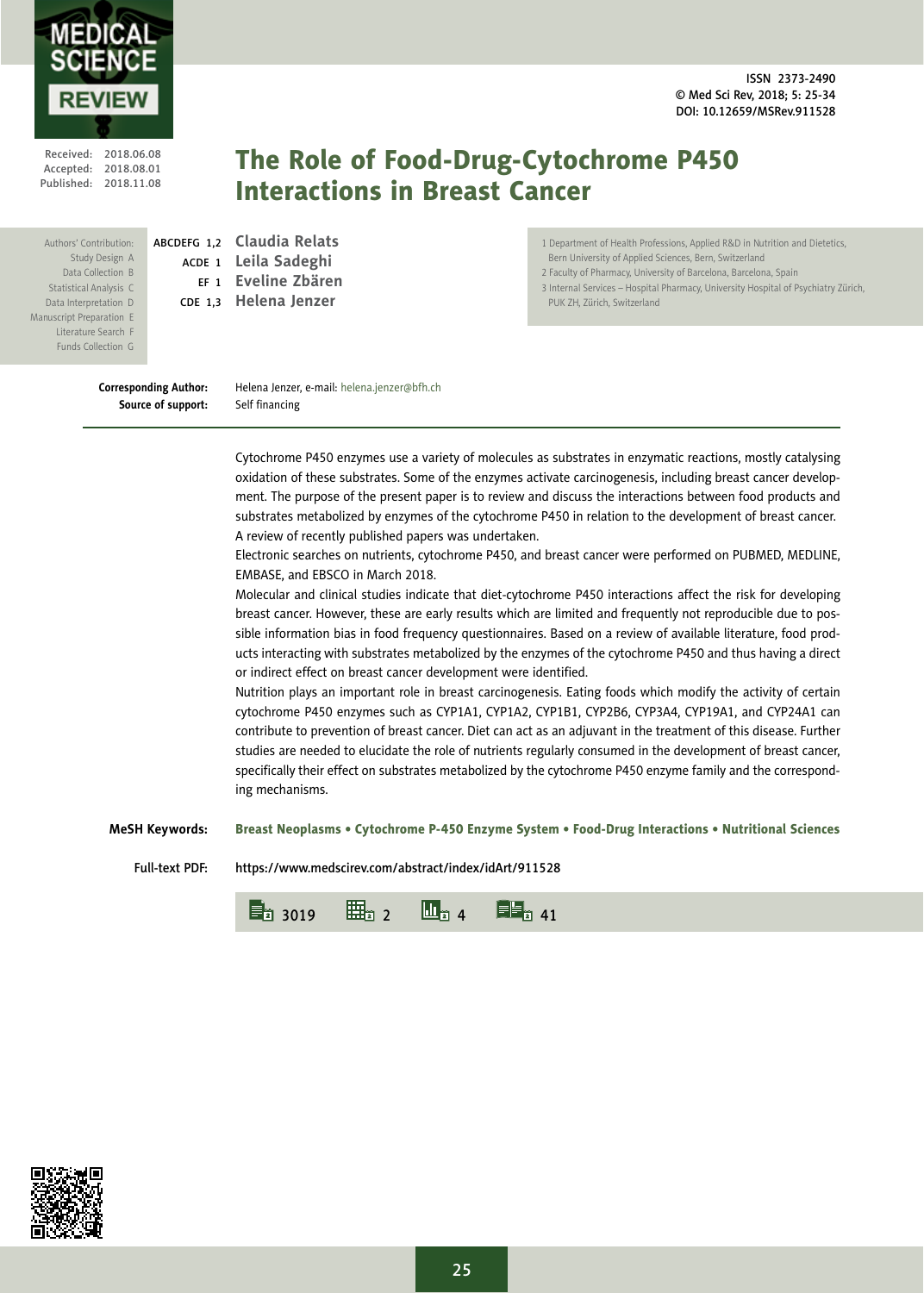ISSN 2373-2490 © Med Sci Rev, 2018; 5: 25-34 DOI: 10.12659/MSRev.911528



Received: 2018.06.08 Accepted: 2018.08.01 Published: 2018.11.08

Authors' Contribution: Study Design A Data Collection B Statistical Analysis C Data Interpretation D Manuscript Preparation E Literature Search F Funds Collection G

# The Role of Food-Drug-Cytochrome P450 Interactions in Breast Cancer

ABCDEFG 1,2 **Claudia Relats** ACDE <sup>1</sup> **Leila Sadeghi** EF <sup>1</sup> **Eveline Zbären** CDE 1,3 **Helena Jenzer**

1 Department of Health Professions, Applied R&D in Nutrition and Dietetics, Bern University of Applied Sciences, Bern, Switzerland

2 Faculty of Pharmacy, University of Barcelona, Barcelona, Spain

3 Internal Services – Hospital Pharmacy, University Hospital of Psychiatry Zürich, PUK ZH, Zürich, Switzerland

**Corresponding Author:** Helena Jenzer, e-mail: helena.jenzer@bfh.ch **Source of support:** Self financing

Cytochrome P450 enzymes use a variety of molecules as substrates in enzymatic reactions, mostly catalysing oxidation of these substrates. Some of the enzymes activate carcinogenesis, including breast cancer development. The purpose of the present paper is to review and discuss the interactions between food products and substrates metabolized by enzymes of the cytochrome P450 in relation to the development of breast cancer. A review of recently published papers was undertaken.

Electronic searches on nutrients, cytochrome P450, and breast cancer were performed on PUBMED, MEDLINE, EMBASE, and EBSCO in March 2018.

Molecular and clinical studies indicate that diet-cytochrome P450 interactions affect the risk for developing breast cancer. However, these are early results which are limited and frequently not reproducible due to possible information bias in food frequency questionnaires. Based on a review of available literature, food products interacting with substrates metabolized by the enzymes of the cytochrome P450 and thus having a direct or indirect effect on breast cancer development were identified.

Nutrition plays an important role in breast carcinogenesis. Eating foods which modify the activity of certain cytochrome P450 enzymes such as CYP1A1, CYP1A2, CYP1B1, CYP2B6, CYP3A4, CYP19A1, and CYP24A1 can contribute to prevention of breast cancer. Diet can act as an adjuvant in the treatment of this disease. Further studies are needed to elucidate the role of nutrients regularly consumed in the development of breast cancer, specifically their effect on substrates metabolized by the cytochrome P450 enzyme family and the corresponding mechanisms.

**MeSH Keywords:** Breast Neoplasms • Cytochrome P-450 Enzyme System • Food-Drug Interactions • Nutritional Sciences

Full-text PDF: https://www.medscirev.com/abstract/index/idArt/911528



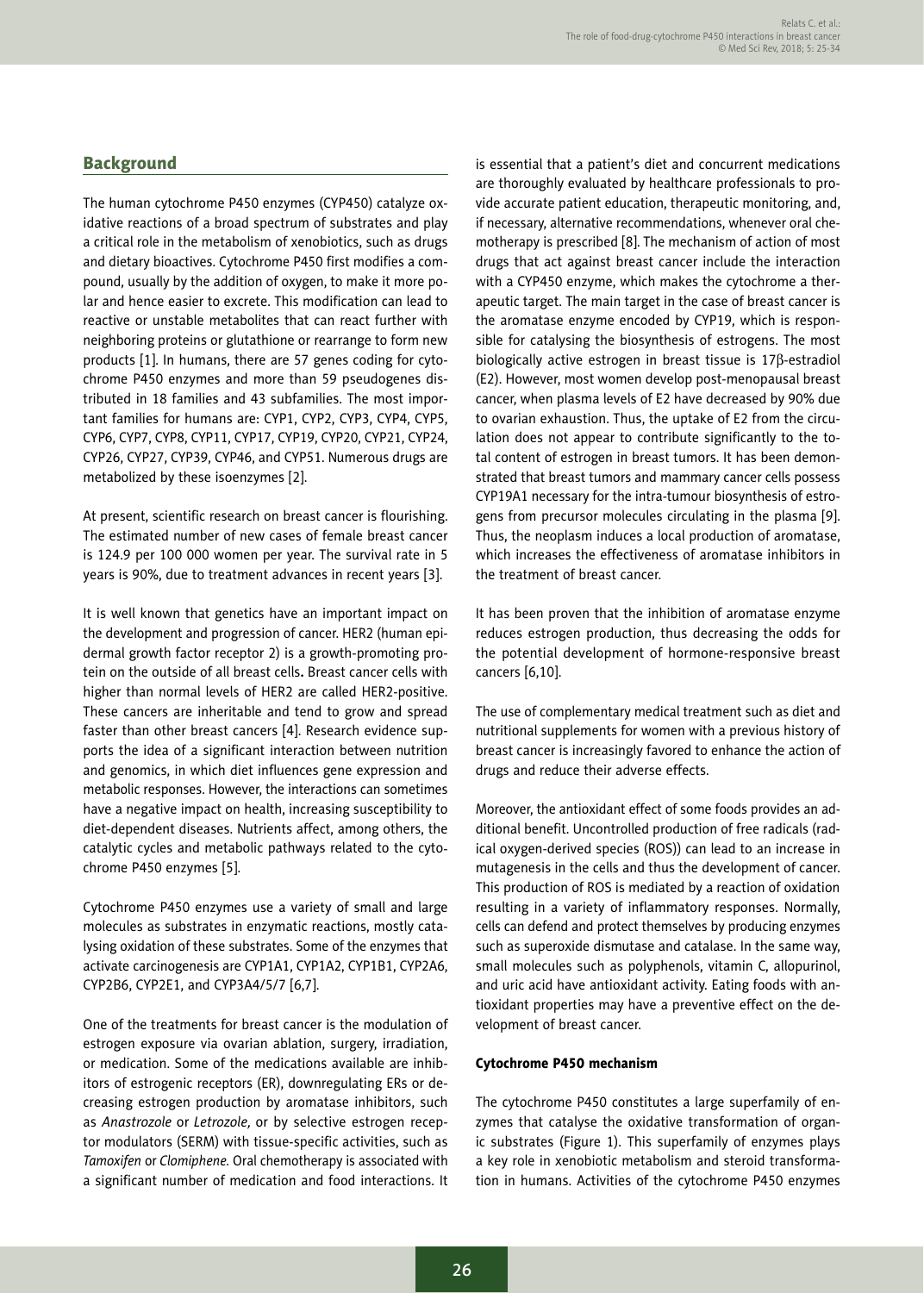# **Background**

The human cytochrome P450 enzymes (CYP450) catalyze oxidative reactions of a broad spectrum of substrates and play a critical role in the metabolism of xenobiotics, such as drugs and dietary bioactives. Cytochrome P450 first modifies a compound, usually by the addition of oxygen, to make it more polar and hence easier to excrete. This modification can lead to reactive or unstable metabolites that can react further with neighboring proteins or glutathione or rearrange to form new products [1]. In humans, there are 57 genes coding for cytochrome P450 enzymes and more than 59 pseudogenes distributed in 18 families and 43 subfamilies. The most important families for humans are: CYP1, CYP2, CYP3, CYP4, CYP5, CYP6, CYP7, CYP8, CYP11, CYP17, CYP19, CYP20, CYP21, CYP24, CYP26, CYP27, CYP39, CYP46, and CYP51. Numerous drugs are metabolized by these isoenzymes [2].

At present, scientific research on breast cancer is flourishing. The estimated number of new cases of female breast cancer is 124.9 per 100 000 women per year. The survival rate in 5 years is 90%, due to treatment advances in recent years [3].

It is well known that genetics have an important impact on the development and progression of cancer. HER2 (human epidermal growth factor receptor 2) is a growth-promoting protein on the outside of all breast cells**.** Breast cancer cells with higher than normal levels of HER2 are called HER2-positive. These cancers are inheritable and tend to grow and spread faster than other breast cancers [4]. Research evidence supports the idea of a significant interaction between nutrition and genomics, in which diet influences gene expression and metabolic responses. However, the interactions can sometimes have a negative impact on health, increasing susceptibility to diet-dependent diseases. Nutrients affect, among others, the catalytic cycles and metabolic pathways related to the cytochrome P450 enzymes [5].

Cytochrome P450 enzymes use a variety of small and large molecules as substrates in enzymatic reactions, mostly catalysing oxidation of these substrates. Some of the enzymes that activate carcinogenesis are CYP1A1, CYP1A2, CYP1B1, CYP2A6, CYP2B6, CYP2E1, and CYP3A4/5/7 [6,7].

One of the treatments for breast cancer is the modulation of estrogen exposure via ovarian ablation, surgery, irradiation, or medication. Some of the medications available are inhibitors of estrogenic receptors (ER), downregulating ERs or decreasing estrogen production by aromatase inhibitors, such as *Anastrozole* or *Letrozole,* or by selective estrogen receptor modulators (SERM) with tissue-specific activities, such as *Tamoxifen* or *Clomiphene.* Oral chemotherapy is associated with a significant number of medication and food interactions. It is essential that a patient's diet and concurrent medications are thoroughly evaluated by healthcare professionals to provide accurate patient education, therapeutic monitoring, and, if necessary, alternative recommendations, whenever oral chemotherapy is prescribed [8]. The mechanism of action of most drugs that act against breast cancer include the interaction with a CYP450 enzyme, which makes the cytochrome a therapeutic target. The main target in the case of breast cancer is the aromatase enzyme encoded by CYP19, which is responsible for catalysing the biosynthesis of estrogens. The most biologically active estrogen in breast tissue is 17<sub>B</sub>-estradiol (E2). However, most women develop post-menopausal breast cancer, when plasma levels of E2 have decreased by 90% due to ovarian exhaustion. Thus, the uptake of E2 from the circulation does not appear to contribute significantly to the total content of estrogen in breast tumors. It has been demonstrated that breast tumors and mammary cancer cells possess CYP19A1 necessary for the intra-tumour biosynthesis of estrogens from precursor molecules circulating in the plasma [9]. Thus, the neoplasm induces a local production of aromatase, which increases the effectiveness of aromatase inhibitors in the treatment of breast cancer.

It has been proven that the inhibition of aromatase enzyme reduces estrogen production, thus decreasing the odds for the potential development of hormone-responsive breast cancers [6,10].

The use of complementary medical treatment such as diet and nutritional supplements for women with a previous history of breast cancer is increasingly favored to enhance the action of drugs and reduce their adverse effects.

Moreover, the antioxidant effect of some foods provides an additional benefit. Uncontrolled production of free radicals (radical oxygen-derived species (ROS)) can lead to an increase in mutagenesis in the cells and thus the development of cancer. This production of ROS is mediated by a reaction of oxidation resulting in a variety of inflammatory responses. Normally, cells can defend and protect themselves by producing enzymes such as superoxide dismutase and catalase. In the same way, small molecules such as polyphenols, vitamin C, allopurinol, and uric acid have antioxidant activity. Eating foods with antioxidant properties may have a preventive effect on the development of breast cancer.

#### Cytochrome P450 mechanism

The cytochrome P450 constitutes a large superfamily of enzymes that catalyse the oxidative transformation of organic substrates (Figure 1). This superfamily of enzymes plays a key role in xenobiotic metabolism and steroid transformation in humans. Activities of the cytochrome P450 enzymes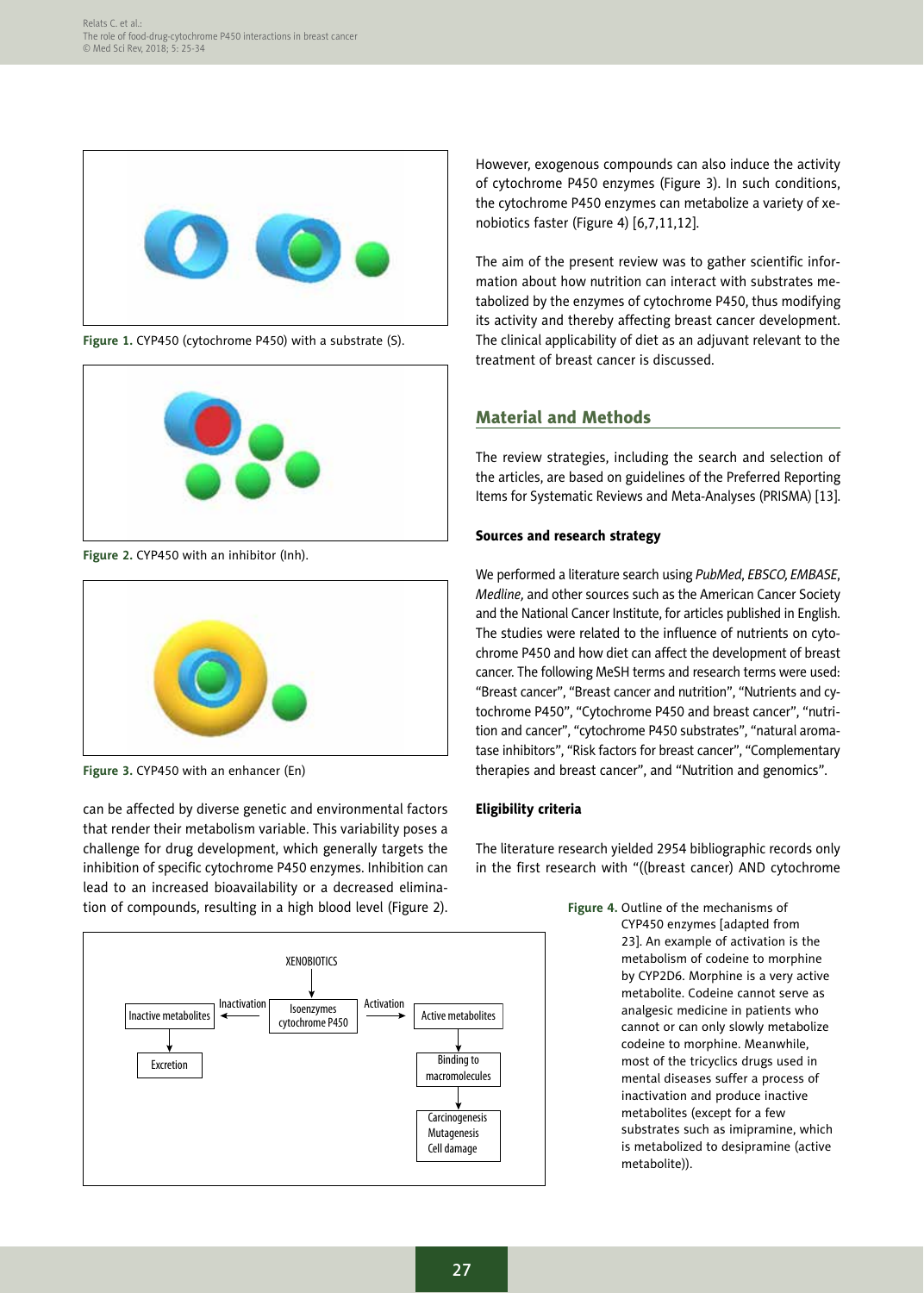

**Figure 1.** CYP450 (cytochrome P450) with a substrate (S).



**Figure 2.** CYP450 with an inhibitor (Inh).



**Figure 3.** CYP450 with an enhancer (En)

can be affected by diverse genetic and environmental factors that render their metabolism variable. This variability poses a challenge for drug development, which generally targets the inhibition of specific cytochrome P450 enzymes. Inhibition can lead to an increased bioavailability or a decreased elimination of compounds, resulting in a high blood level (Figure 2).



However, exogenous compounds can also induce the activity of cytochrome P450 enzymes (Figure 3). In such conditions, the cytochrome P450 enzymes can metabolize a variety of xenobiotics faster (Figure 4) [6,7,11,12].

The aim of the present review was to gather scientific information about how nutrition can interact with substrates metabolized by the enzymes of cytochrome P450, thus modifying its activity and thereby affecting breast cancer development. The clinical applicability of diet as an adjuvant relevant to the treatment of breast cancer is discussed.

# Material and Methods

The review strategies, including the search and selection of the articles, are based on guidelines of the Preferred Reporting Items for Systematic Reviews and Meta-Analyses (PRISMA) [13].

#### Sources and research strategy

We performed a literature search using *PubMed*, *EBSCO, EMBASE*, *Medline,* and other sources such as the American Cancer Society and the National Cancer Institute, for articles published in English. The studies were related to the influence of nutrients on cytochrome P450 and how diet can affect the development of breast cancer. The following MeSH terms and research terms were used: "Breast cancer", "Breast cancer and nutrition", "Nutrients and cytochrome P450", "Cytochrome P450 and breast cancer", "nutrition and cancer", "cytochrome P450 substrates", "natural aromatase inhibitors", "Risk factors for breast cancer", "Complementary therapies and breast cancer", and "Nutrition and genomics".

# Eligibility criteria

The literature research yielded 2954 bibliographic records only in the first research with "((breast cancer) AND cytochrome

> **Figure 4.** Outline of the mechanisms of CYP450 enzymes [adapted from 23]. An example of activation is the metabolism of codeine to morphine by CYP2D6. Morphine is a very active metabolite. Codeine cannot serve as analgesic medicine in patients who cannot or can only slowly metabolize codeine to morphine. Meanwhile, most of the tricyclics drugs used in mental diseases suffer a process of inactivation and produce inactive metabolites (except for a few substrates such as imipramine, which is metabolized to desipramine (active metabolite)).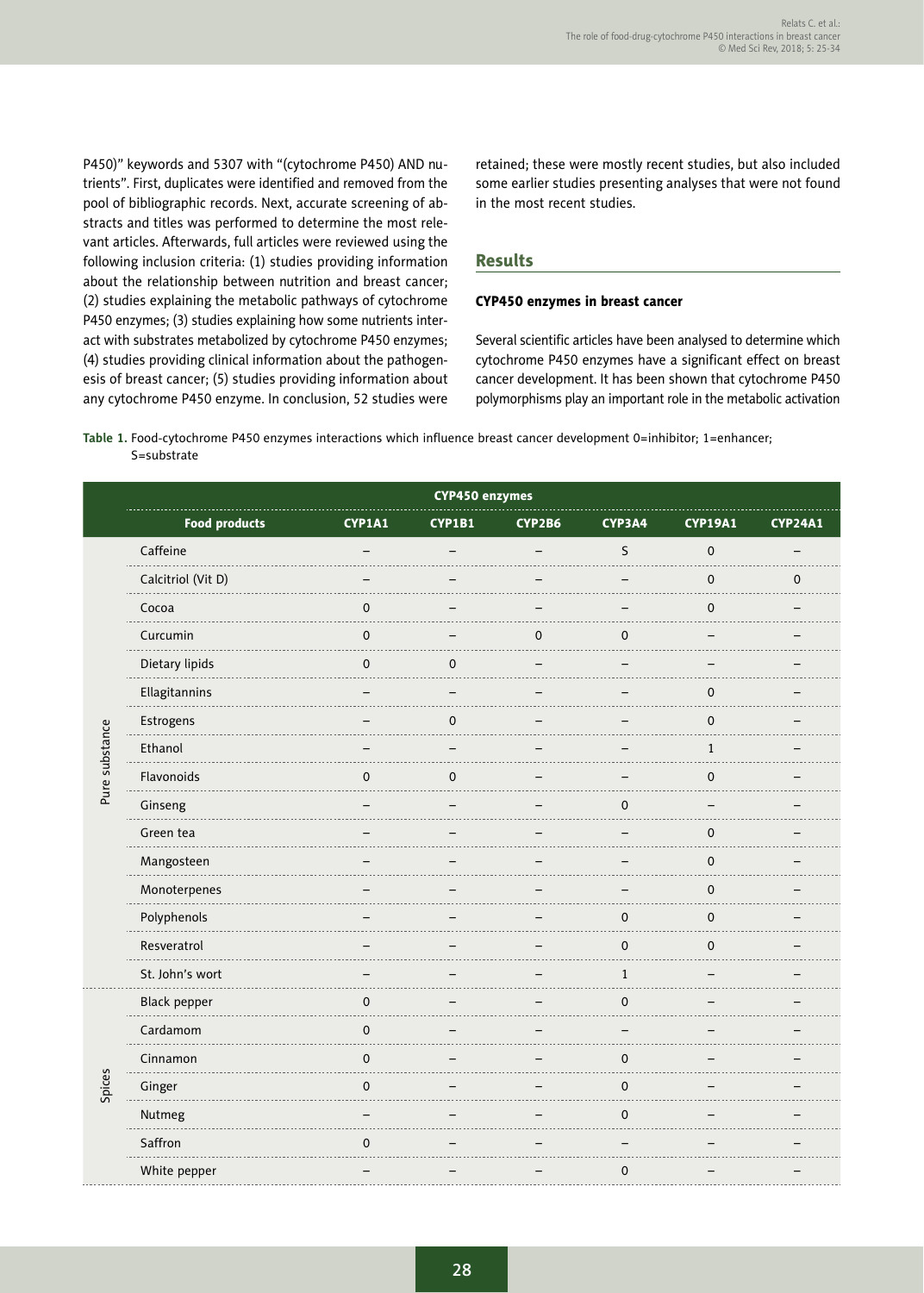P450)" keywords and 5307 with "(cytochrome P450) AND nutrients". First, duplicates were identified and removed from the pool of bibliographic records. Next, accurate screening of abstracts and titles was performed to determine the most relevant articles. Afterwards, full articles were reviewed using the following inclusion criteria: (1) studies providing information about the relationship between nutrition and breast cancer; (2) studies explaining the metabolic pathways of cytochrome P450 enzymes; (3) studies explaining how some nutrients interact with substrates metabolized by cytochrome P450 enzymes; (4) studies providing clinical information about the pathogenesis of breast cancer; (5) studies providing information about any cytochrome P450 enzyme. In conclusion, 52 studies were retained; these were mostly recent studies, but also included some earlier studies presenting analyses that were not found in the most recent studies.

### Results

#### CYP450 enzymes in breast cancer

Several scientific articles have been analysed to determine which cytochrome P450 enzymes have a significant effect on breast cancer development. It has been shown that cytochrome P450 polymorphisms play an important role in the metabolic activation

**Table 1.** Food-cytochrome P450 enzymes interactions which influence breast cancer development 0=inhibitor; 1=enhancer; S=substrate

|                | <b>CYP450 enzymes</b> |             |           |             |              |                     |                |
|----------------|-----------------------|-------------|-----------|-------------|--------------|---------------------|----------------|
|                | <b>Food products</b>  | CYP1A1      | CYP1B1    | CYP2B6      | CYP3A4       | <b>CYP19A1</b>      | <b>CYP24A1</b> |
|                | Caffeine              |             |           |             | S            | $\mathbf 0$         |                |
|                | Calcitriol (Vit D)    |             |           |             |              | $\mathbf 0$         | $\mathbf 0$    |
|                | Cocoa                 | 0           |           |             |              | $\mathbf 0$         |                |
|                | Curcumin              | 0           |           | $\mathbf 0$ | $\mathbf 0$  |                     |                |
|                | Dietary lipids        | 0           | $\pmb{0}$ |             |              |                     |                |
|                | Ellagitannins         |             |           |             |              | $\mathbf 0$         |                |
|                | Estrogens             |             | $\pmb{0}$ |             |              | $\pmb{0}$           |                |
| Pure substance | Ethanol               |             |           |             |              | $\mathbf{1}$        |                |
|                | Flavonoids<br>.       | 0           | $\pmb{0}$ |             |              | $\pmb{0}$           |                |
|                | Ginseng               |             |           |             | $\mathbf 0$  |                     |                |
|                | Green tea             |             |           |             |              | $\mathsf{O}\xspace$ |                |
|                | Mangosteen            |             |           |             |              | $\mathbf 0$         |                |
|                | Monoterpenes          |             |           |             |              | $\mathbf 0$         |                |
|                | Polyphenols           |             |           |             | $\mathbf 0$  | $\mathbf 0$         |                |
|                | Resveratrol           |             |           |             | $\mathbf 0$  | $\mathbf 0$         |                |
|                | St. John's wort       |             |           |             | $\mathbf{1}$ |                     |                |
|                | Black pepper          | 0           |           |             | $\mathbf 0$  |                     |                |
| Spices         | Cardamom              | $\mathbf 0$ |           |             |              |                     |                |
|                | Cinnamon<br>.         | 0           |           |             | $\mathbf 0$  |                     |                |
|                | Ginger                | 0           |           |             | $\mathbf 0$  |                     |                |
|                | Nutmeg                |             |           |             | $\mathbf 0$  |                     |                |
|                | Saffron               | $\Omega$    |           |             |              |                     |                |
|                | White pepper          |             |           |             | $\mathbf 0$  |                     |                |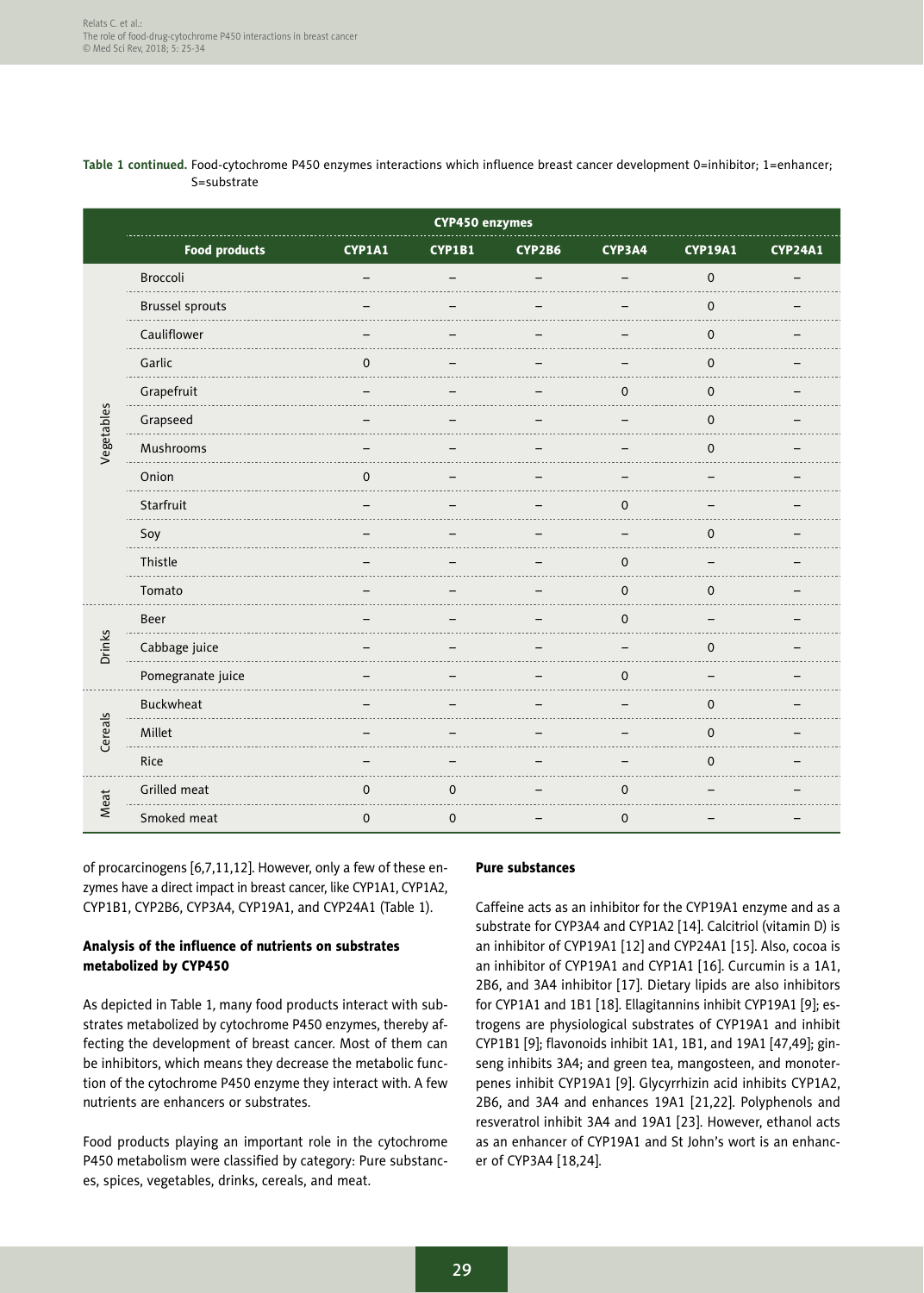#### **Table 1 continued.** Food-cytochrome P450 enzymes interactions which influence breast cancer development 0=inhibitor; 1=enhancer; S=substrate

|            | CYP450 enzymes         |             |             |        |             |                |                |
|------------|------------------------|-------------|-------------|--------|-------------|----------------|----------------|
|            | <b>Food products</b>   | CYP1A1      | CYP1B1      | CYP2B6 | CYP3A4      | <b>CYP19A1</b> | <b>CYP24A1</b> |
|            | Broccoli               |             |             |        |             | $\Omega$       |                |
|            | <b>Brussel sprouts</b> |             |             |        |             | $\mathbf 0$    |                |
|            | Cauliflower            |             |             |        |             | 0              |                |
|            | Garlic                 | O           |             |        |             | 0              |                |
|            | Grapefruit             |             |             |        | $\Omega$    | $\mathbf 0$    |                |
| Vegetables | Grapseed               |             |             |        |             | 0              |                |
|            | Mushrooms              |             |             |        |             | 0              |                |
|            | Onion                  | $\Omega$    |             |        |             |                |                |
|            | Starfruit              |             |             |        | 0           |                |                |
|            | Soy                    |             |             |        |             | 0              |                |
|            | Thistle                |             |             |        | $\Omega$    |                |                |
|            | Tomato                 |             |             |        | 0           | $\mathbf 0$    |                |
|            | Beer                   |             |             |        | $\mathbf 0$ |                |                |
| Drinks     | Cabbage juice          |             |             |        |             | 0              |                |
|            | Pomegranate juice      |             |             |        | $\mathbf 0$ |                |                |
| Cereals    | Buckwheat              |             |             |        |             | 0              |                |
|            | Millet                 |             |             |        |             | $\Omega$       |                |
|            | Rice                   |             |             |        |             | $\mathbf 0$    |                |
| Meat       | Grilled meat           | 0           | 0           |        | 0           |                |                |
|            | Smoked meat            | $\mathbf 0$ | $\mathbf 0$ |        | $\mathbf 0$ |                |                |

of procarcinogens [6,7,11,12]. However, only a few of these enzymes have a direct impact in breast cancer, like CYP1A1, CYP1A2, CYP1B1, CYP2B6, CYP3A4, CYP19A1, and CYP24A1 (Table 1).

# Analysis of the influence of nutrients on substrates metabolized by CYP450

As depicted in Table 1*,* many food products interact with substrates metabolized by cytochrome P450 enzymes, thereby affecting the development of breast cancer. Most of them can be inhibitors, which means they decrease the metabolic function of the cytochrome P450 enzyme they interact with. A few nutrients are enhancers or substrates.

Food products playing an important role in the cytochrome P450 metabolism were classified by category: Pure substances, spices, vegetables, drinks, cereals, and meat.

#### Pure substances

Caffeine acts as an inhibitor for the CYP19A1 enzyme and as a substrate for CYP3A4 and CYP1A2 [14]. Calcitriol (vitamin D) is an inhibitor of CYP19A1 [12] and CYP24A1 [15]. Also, cocoa is an inhibitor of CYP19A1 and CYP1A1 [16]. Curcumin is a 1A1, 2B6, and 3A4 inhibitor [17]. Dietary lipids are also inhibitors for CYP1A1 and 1B1 [18]. Ellagitannins inhibit CYP19A1 [9]; estrogens are physiological substrates of CYP19A1 and inhibit CYP1B1 [9]; flavonoids inhibit 1A1, 1B1, and 19A1 [47,49]; ginseng inhibits 3A4; and green tea, mangosteen, and monoterpenes inhibit CYP19A1 [9]. Glycyrrhizin acid inhibits CYP1A2, 2B6, and 3A4 and enhances 19A1 [21,22]. Polyphenols and resveratrol inhibit 3A4 and 19A1 [23]. However, ethanol acts as an enhancer of CYP19A1 and St John's wort is an enhancer of CYP3A4 [18,24].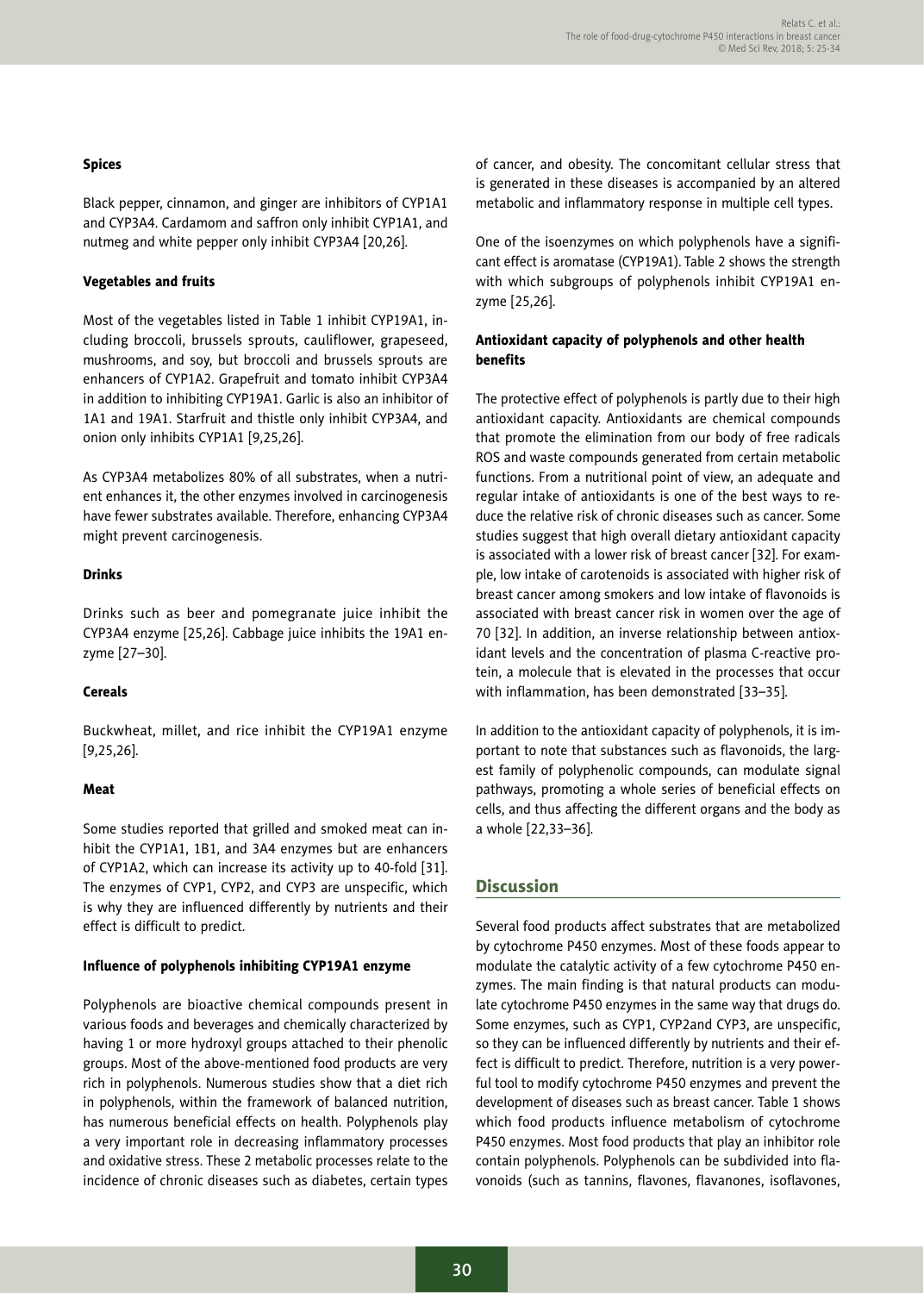#### Spices

Black pepper, cinnamon, and ginger are inhibitors of CYP1A1 and CYP3A4. Cardamom and saffron only inhibit CYP1A1, and nutmeg and white pepper only inhibit CYP3A4 [20,26].

#### Vegetables and fruits

Most of the vegetables listed in Table 1 inhibit CYP19A1, including broccoli, brussels sprouts, cauliflower, grapeseed, mushrooms, and soy, but broccoli and brussels sprouts are enhancers of CYP1A2. Grapefruit and tomato inhibit CYP3A4 in addition to inhibiting CYP19A1. Garlic is also an inhibitor of 1A1 and 19A1. Starfruit and thistle only inhibit CYP3A4, and onion only inhibits CYP1A1 [9,25,26].

As CYP3A4 metabolizes 80% of all substrates, when a nutrient enhances it, the other enzymes involved in carcinogenesis have fewer substrates available. Therefore, enhancing CYP3A4 might prevent carcinogenesis.

### Drinks

Drinks such as beer and pomegranate juice inhibit the CYP3A4 enzyme [25,26]. Cabbage juice inhibits the 19A1 enzyme [27–30].

#### **Cereals**

Buckwheat, millet, and rice inhibit the CYP19A1 enzyme [9,25,26].

#### Meat

Some studies reported that grilled and smoked meat can inhibit the CYP1A1, 1B1, and 3A4 enzymes but are enhancers of CYP1A2, which can increase its activity up to 40-fold [31]. The enzymes of CYP1, CYP2, and CYP3 are unspecific, which is why they are influenced differently by nutrients and their effect is difficult to predict.

#### Influence of polyphenols inhibiting CYP19A1 enzyme

Polyphenols are bioactive chemical compounds present in various foods and beverages and chemically characterized by having 1 or more hydroxyl groups attached to their phenolic groups. Most of the above-mentioned food products are very rich in polyphenols. Numerous studies show that a diet rich in polyphenols, within the framework of balanced nutrition, has numerous beneficial effects on health. Polyphenols play a very important role in decreasing inflammatory processes and oxidative stress. These 2 metabolic processes relate to the incidence of chronic diseases such as diabetes, certain types of cancer, and obesity. The concomitant cellular stress that is generated in these diseases is accompanied by an altered metabolic and inflammatory response in multiple cell types.

One of the isoenzymes on which polyphenols have a significant effect is aromatase (CYP19A1). Table 2 shows the strength with which subgroups of polyphenols inhibit CYP19A1 enzyme [25,26].

### Antioxidant capacity of polyphenols and other health benefits

The protective effect of polyphenols is partly due to their high antioxidant capacity. Antioxidants are chemical compounds that promote the elimination from our body of free radicals ROS and waste compounds generated from certain metabolic functions. From a nutritional point of view, an adequate and regular intake of antioxidants is one of the best ways to reduce the relative risk of chronic diseases such as cancer. Some studies suggest that high overall dietary antioxidant capacity is associated with a lower risk of breast cancer [32]. For example, low intake of carotenoids is associated with higher risk of breast cancer among smokers and low intake of flavonoids is associated with breast cancer risk in women over the age of 70 [32]. In addition, an inverse relationship between antioxidant levels and the concentration of plasma C-reactive protein, a molecule that is elevated in the processes that occur with inflammation, has been demonstrated [33–35].

In addition to the antioxidant capacity of polyphenols, it is important to note that substances such as flavonoids, the largest family of polyphenolic compounds, can modulate signal pathways, promoting a whole series of beneficial effects on cells, and thus affecting the different organs and the body as a whole [22,33–36].

# **Discussion**

Several food products affect substrates that are metabolized by cytochrome P450 enzymes. Most of these foods appear to modulate the catalytic activity of a few cytochrome P450 enzymes. The main finding is that natural products can modulate cytochrome P450 enzymes in the same way that drugs do. Some enzymes, such as CYP1, CYP2and CYP3, are unspecific, so they can be influenced differently by nutrients and their effect is difficult to predict. Therefore, nutrition is a very powerful tool to modify cytochrome P450 enzymes and prevent the development of diseases such as breast cancer. Table 1 shows which food products influence metabolism of cytochrome P450 enzymes. Most food products that play an inhibitor role contain polyphenols. Polyphenols can be subdivided into flavonoids (such as tannins, flavones, flavanones, isoflavones,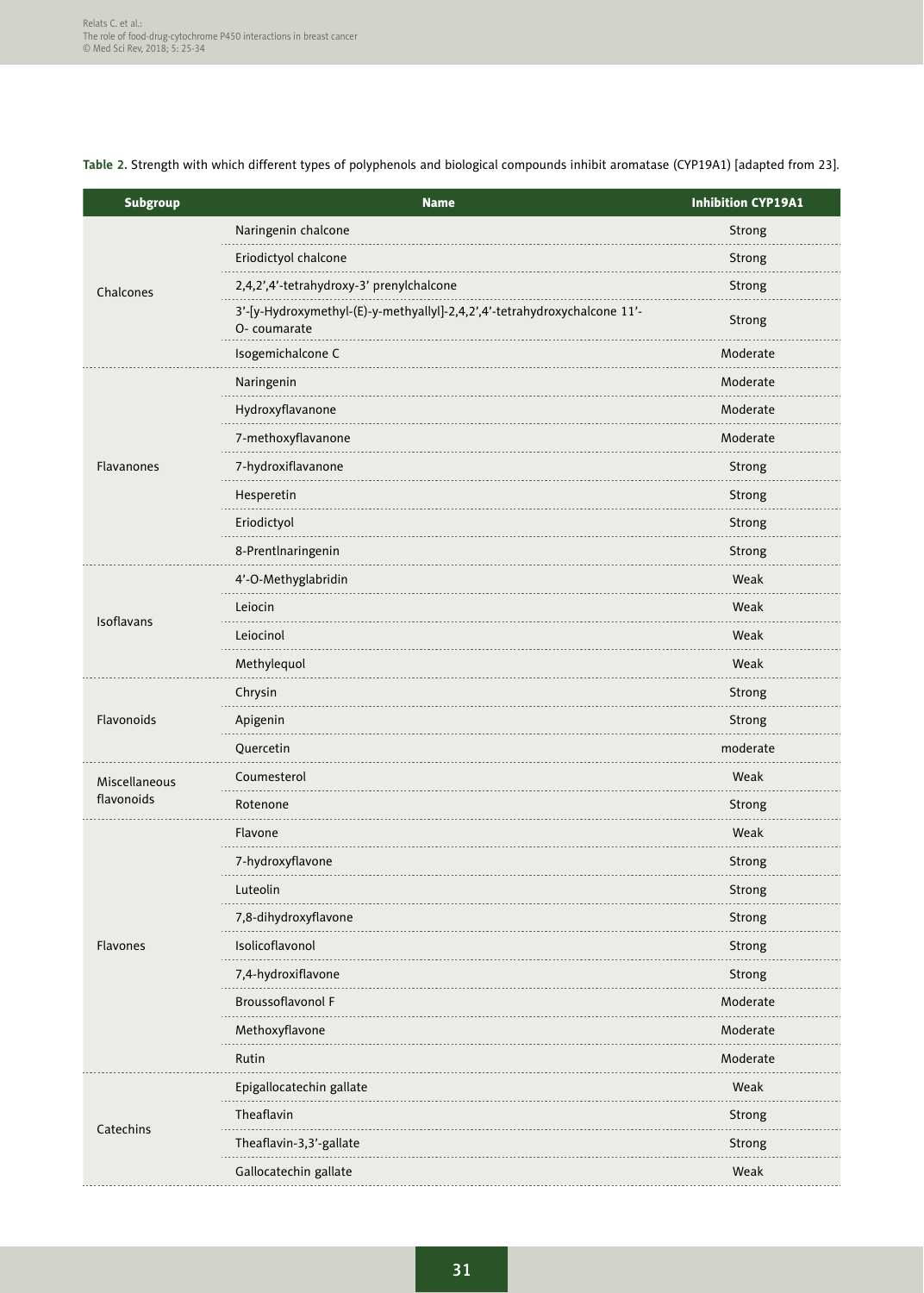**Table 2.** Strength with which different types of polyphenols and biological compounds inhibit aromatase (CYP19A1) [adapted from 23].

| <b>Subgroup</b> | <b>Name</b>                                                                              | <b>Inhibition CYP19A1</b> |
|-----------------|------------------------------------------------------------------------------------------|---------------------------|
|                 | Naringenin chalcone                                                                      | Strong                    |
|                 | Eriodictyol chalcone                                                                     | Strong                    |
| Chalcones       | 2,4,2',4'-tetrahydroxy-3' prenylchalcone                                                 | Strong                    |
|                 | 3'-[y-Hydroxymethyl-(E)-y-methyallyl]-2,4,2',4'-tetrahydroxychalcone 11'-<br>O-coumarate | Strong                    |
|                 | Isogemichalcone C                                                                        | Moderate                  |
|                 | Naringenin                                                                               | Moderate                  |
|                 | Hydroxyflavanone                                                                         | Moderate                  |
|                 | 7-methoxyflavanone                                                                       | Moderate                  |
| Flavanones      | 7-hydroxiflavanone                                                                       | Strong                    |
|                 | Hesperetin                                                                               | Strong                    |
|                 | Eriodictyol                                                                              | Strong                    |
|                 | 8-Prentlnaringenin                                                                       | Strong                    |
|                 | 4'-O-Methyglabridin                                                                      | Weak                      |
|                 | Leiocin                                                                                  | Weak                      |
| Isoflavans      | Leiocinol                                                                                | Weak                      |
|                 | Methylequol                                                                              | Weak                      |
|                 | Chrysin                                                                                  | Strong                    |
| Flavonoids      | Apigenin                                                                                 | Strong                    |
|                 | Quercetin                                                                                | moderate                  |
| Miscellaneous   | Coumesterol                                                                              | Weak                      |
| flavonoids      | Rotenone                                                                                 | Strong                    |
|                 | Flavone                                                                                  | Weak                      |
|                 | 7-hydroxyflavone                                                                         | Strong                    |
|                 | Luteolin                                                                                 | Strong                    |
|                 | 7,8-dihydroxyflavone                                                                     | Strong                    |
| <b>Flavones</b> | Isolicoflavonol                                                                          | Strong                    |
|                 | 7,4-hydroxiflavone                                                                       | Strong                    |
|                 | Broussoflavonol F                                                                        | Moderate                  |
|                 | Methoxyflavone                                                                           | Moderate                  |
|                 | Rutin                                                                                    | Moderate                  |
|                 | Epigallocatechin gallate                                                                 | Weak                      |
|                 | Theaflavin                                                                               | Strong                    |
| Catechins       | Theaflavin-3,3'-gallate                                                                  | Strong                    |
|                 | Gallocatechin gallate                                                                    | Weak                      |
|                 |                                                                                          |                           |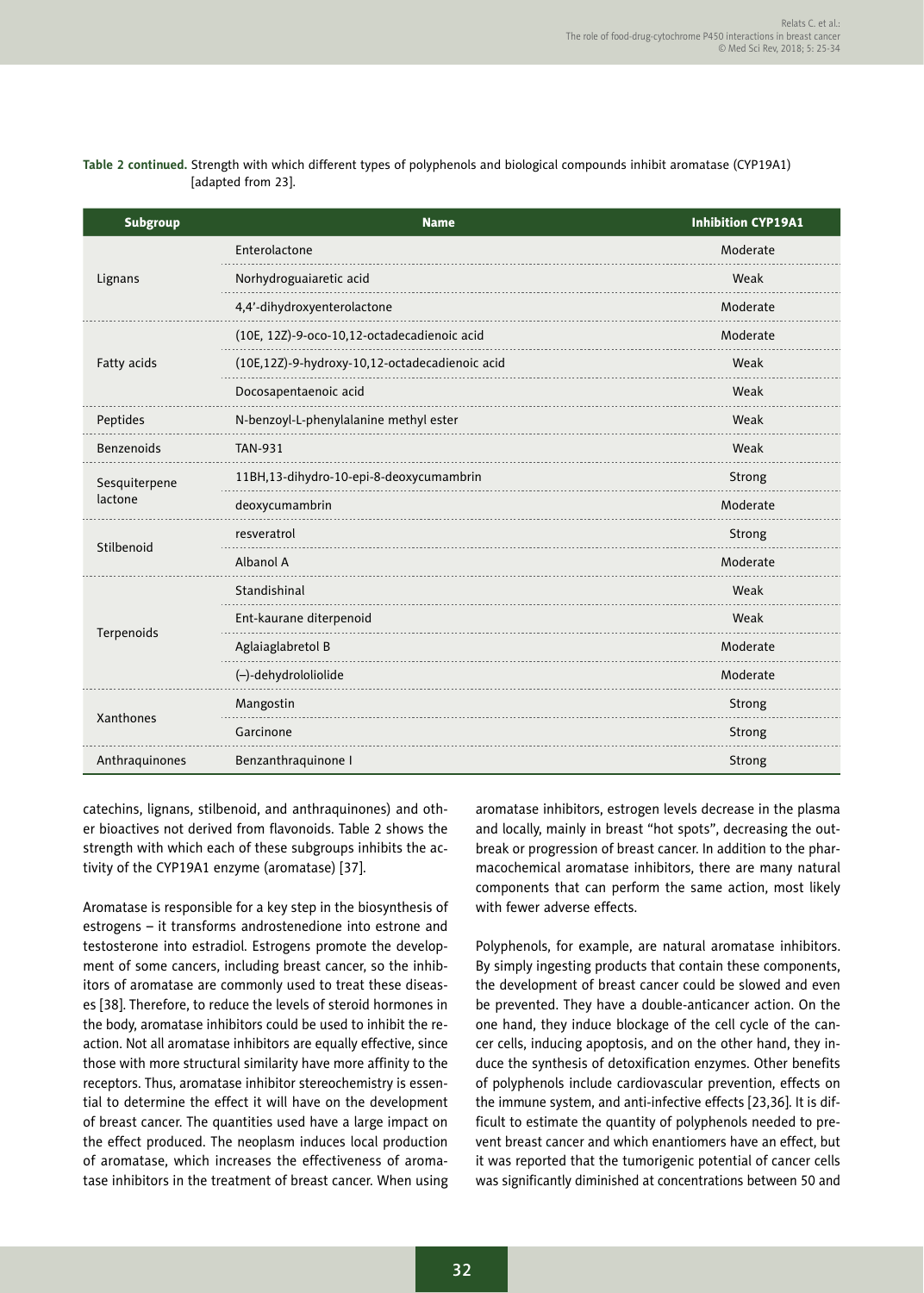| <b>Subgroup</b> | <b>Name</b>                                    | <b>Inhibition CYP19A1</b> |  |  |
|-----------------|------------------------------------------------|---------------------------|--|--|
|                 | Enterolactone                                  | Moderate                  |  |  |
| Lignans         | Norhydroguaiaretic acid                        | Weak                      |  |  |
|                 | 4,4'-dihydroxyenterolactone                    | Moderate                  |  |  |
|                 | (10E, 12Z)-9-oco-10,12-octadecadienoic acid    | Moderate                  |  |  |
| Fatty acids     | (10E,12Z)-9-hydroxy-10,12-octadecadienoic acid | Weak                      |  |  |
|                 | Docosapentaenoic acid                          | Weak                      |  |  |
| Peptides        | N-benzoyl-L-phenylalanine methyl ester         | Weak                      |  |  |
| Benzenoids      | <b>TAN-931</b>                                 | Weak                      |  |  |
| Sesquiterpene   | 11BH,13-dihydro-10-epi-8-deoxycumambrin        | Strong                    |  |  |
| lactone         | deoxycumambrin                                 | Moderate                  |  |  |
| Stilbenoid      | resveratrol                                    | Strong                    |  |  |
|                 | <b>Albanol A</b>                               | Moderate                  |  |  |
|                 | Standishinal                                   | Weak                      |  |  |
|                 | Ent-kaurane diterpenoid                        | Weak                      |  |  |
| Terpenoids      | Aglaiaglabretol B                              | Moderate                  |  |  |
|                 | (-)-dehydrololiolide                           | Moderate                  |  |  |
|                 | Mangostin                                      | Strong                    |  |  |
| Xanthones       | Garcinone                                      | Strong                    |  |  |
| Anthraquinones  | Benzanthraquinone I                            | Strong                    |  |  |

**Table 2 continued.** Strength with which different types of polyphenols and biological compounds inhibit aromatase (CYP19A1) [adapted from 23].

catechins, lignans, stilbenoid, and anthraquinones) and other bioactives not derived from flavonoids. Table 2 shows the strength with which each of these subgroups inhibits the activity of the CYP19A1 enzyme (aromatase) [37].

Aromatase is responsible for a key step in the biosynthesis of estrogens – it transforms androstenedione into estrone and testosterone into estradiol. Estrogens promote the development of some cancers, including breast cancer, so the inhibitors of aromatase are commonly used to treat these diseases [38]. Therefore, to reduce the levels of steroid hormones in the body, aromatase inhibitors could be used to inhibit the reaction. Not all aromatase inhibitors are equally effective, since those with more structural similarity have more affinity to the receptors. Thus, aromatase inhibitor stereochemistry is essential to determine the effect it will have on the development of breast cancer. The quantities used have a large impact on the effect produced. The neoplasm induces local production of aromatase, which increases the effectiveness of aromatase inhibitors in the treatment of breast cancer. When using aromatase inhibitors, estrogen levels decrease in the plasma and locally, mainly in breast "hot spots", decreasing the outbreak or progression of breast cancer. In addition to the pharmacochemical aromatase inhibitors, there are many natural components that can perform the same action, most likely with fewer adverse effects.

Polyphenols, for example, are natural aromatase inhibitors. By simply ingesting products that contain these components, the development of breast cancer could be slowed and even be prevented. They have a double-anticancer action. On the one hand, they induce blockage of the cell cycle of the cancer cells, inducing apoptosis, and on the other hand, they induce the synthesis of detoxification enzymes. Other benefits of polyphenols include cardiovascular prevention, effects on the immune system, and anti-infective effects [23,36]. It is difficult to estimate the quantity of polyphenols needed to prevent breast cancer and which enantiomers have an effect, but it was reported that the tumorigenic potential of cancer cells was significantly diminished at concentrations between 50 and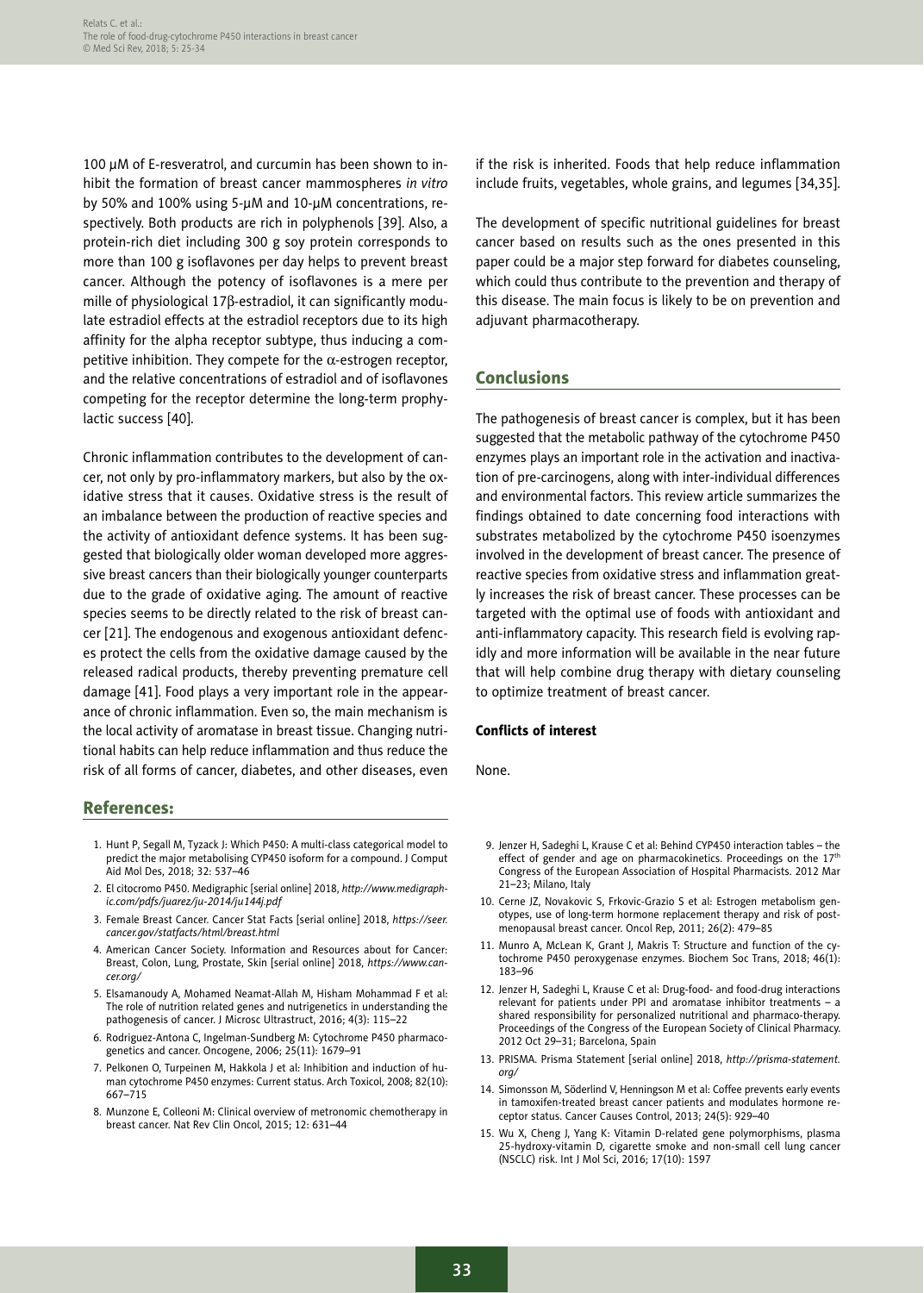100 µM of E-resveratrol, and curcumin has been shown to inhibit the formation of breast cancer mammospheres *in vitro* by 50% and 100% using 5-µM and 10-µM concentrations, respectively. Both products are rich in polyphenols [39]. Also, a protein-rich diet including 300 g soy protein corresponds to more than 100 g isoflavones per day helps to prevent breast cancer. Although the potency of isoflavones is a mere per mille of physiological 17<sub>B</sub>-estradiol, it can significantly modulate estradiol effects at the estradiol receptors due to its high affinity for the alpha receptor subtype, thus inducing a competitive inhibition. They compete for the  $\alpha$ -estrogen receptor, and the relative concentrations of estradiol and of isoflavones competing for the receptor determine the long-term prophylactic success [40].

Chronic inflammation contributes to the development of cancer, not only by pro-inflammatory markers, but also by the oxidative stress that it causes. Oxidative stress is the result of an imbalance between the production of reactive species and the activity of antioxidant defence systems. It has been suggested that biologically older woman developed more aggressive breast cancers than their biologically younger counterparts due to the grade of oxidative aging. The amount of reactive species seems to be directly related to the risk of breast cancer [21]. The endogenous and exogenous antioxidant defences protect the cells from the oxidative damage caused by the released radical products, thereby preventing premature cell damage [41]. Food plays a very important role in the appearance of chronic inflammation. Even so, the main mechanism is the local activity of aromatase in breast tissue. Changing nutritional habits can help reduce inflammation and thus reduce the risk of all forms of cancer, diabetes, and other diseases, even

#### References:

- 1. Hunt P, Segall M, Tyzack J: Which P450: A multi-class categorical model to predict the major metabolising CYP450 isoform for a compound. J Comput Aid Mol Des, 2018; 32: 537–46
- 2. El citocromo P450. Medigraphic [serial online] 2018, *http://www.medigraphic.com/pdfs/juarez/ju-2014/ju144j.pdf*
- 3. Female Breast Cancer. Cancer Stat Facts [serial online] 2018, *https://seer. cancer.gov/statfacts/html/breast.html*
- 4. American Cancer Society. Information and Resources about for Cancer: Breast, Colon, Lung, Prostate, Skin [serial online] 2018, *https://www.cancer.org/*
- 5. Elsamanoudy A, Mohamed Neamat-Allah M, Hisham Mohammad F et al: The role of nutrition related genes and nutrigenetics in understanding the pathogenesis of cancer. J Microsc Ultrastruct, 2016; 4(3): 115–22
- 6. Rodriguez-Antona C, Ingelman-Sundberg M: Cytochrome P450 pharmacogenetics and cancer. Oncogene, 2006; 25(11): 1679–91
- 7. Pelkonen O, Turpeinen M, Hakkola J et al: Inhibition and induction of human cytochrome P450 enzymes: Current status. Arch Toxicol, 2008; 82(10): 667–715
- 8. Munzone E, Colleoni M: Clinical overview of metronomic chemotherapy in breast cancer. Nat Rev Clin Oncol, 2015; 12: 631–44

if the risk is inherited. Foods that help reduce inflammation include fruits, vegetables, whole grains, and legumes [34,35].

The development of specific nutritional guidelines for breast cancer based on results such as the ones presented in this paper could be a major step forward for diabetes counseling, which could thus contribute to the prevention and therapy of this disease. The main focus is likely to be on prevention and adjuvant pharmacotherapy.

### Conclusions

The pathogenesis of breast cancer is complex, but it has been suggested that the metabolic pathway of the cytochrome P450 enzymes plays an important role in the activation and inactivation of pre-carcinogens, along with inter-individual differences and environmental factors. This review article summarizes the findings obtained to date concerning food interactions with substrates metabolized by the cytochrome P450 isoenzymes involved in the development of breast cancer. The presence of reactive species from oxidative stress and inflammation greatly increases the risk of breast cancer. These processes can be targeted with the optimal use of foods with antioxidant and anti-inflammatory capacity. This research field is evolving rapidly and more information will be available in the near future that will help combine drug therapy with dietary counseling to optimize treatment of breast cancer.

#### Conflicts of interest

None.

- 9. Jenzer H, Sadeghi L, Krause C et al: Behind CYP450 interaction tables the effect of gender and age on pharmacokinetics. Proceedings on the  $17<sup>th</sup>$ Congress of the European Association of Hospital Pharmacists. 2012 Mar 21–23; Milano, Italy
- 10. Cerne JZ, Novakovic S, Frkovic-Grazio S et al: Estrogen metabolism genotypes, use of long-term hormone replacement therapy and risk of postmenopausal breast cancer. Oncol Rep, 2011; 26(2): 479–85
- 11. Munro A, McLean K, Grant J, Makris T: Structure and function of the cytochrome P450 peroxygenase enzymes. Biochem Soc Trans, 2018; 46(1): 183–96
- 12. Jenzer H, Sadeghi L, Krause C et al: Drug-food- and food-drug interactions relevant for patients under PPI and aromatase inhibitor treatments – a shared responsibility for personalized nutritional and pharmaco-therapy. Proceedings of the Congress of the European Society of Clinical Pharmacy. 2012 Oct 29–31; Barcelona, Spain
- 13. PRISMA. Prisma Statement [serial online] 2018, *http://prisma-statement. org/*
- 14. Simonsson M, Söderlind V, Henningson M et al: Coffee prevents early events in tamoxifen-treated breast cancer patients and modulates hormone receptor status. Cancer Causes Control, 2013; 24(5): 929–40
- 15. Wu X, Cheng J, Yang K: Vitamin D-related gene polymorphisms, plasma 25-hydroxy-vitamin D, cigarette smoke and non-small cell lung cancer (NSCLC) risk. Int J Mol Sci, 2016; 17(10): 1597